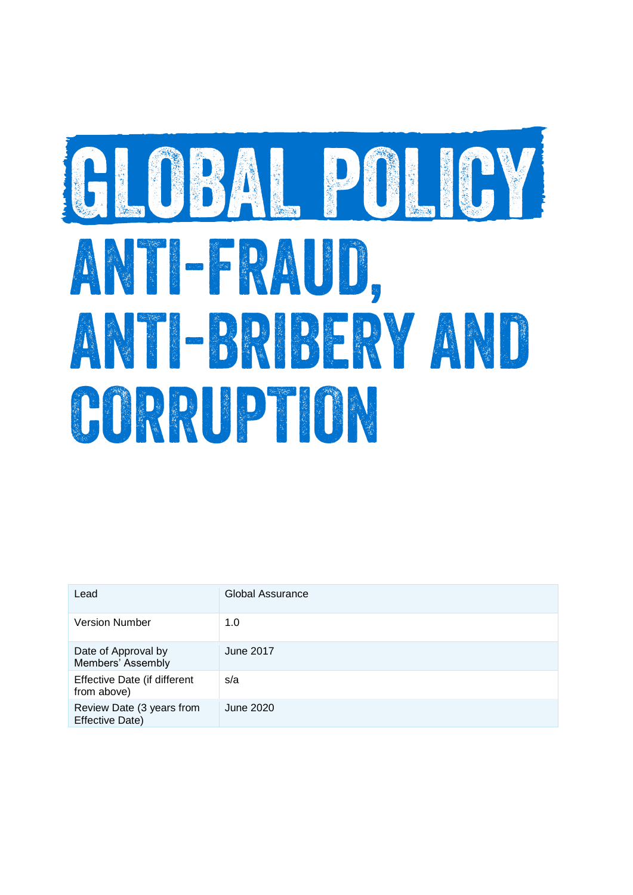# GLOBAL POLICY ANTI-RAUD, ANTI-BRIBERY AND CORRUPTON

| Lead                                                | Global Assurance |
|-----------------------------------------------------|------------------|
| <b>Version Number</b>                               | 1.0              |
| Date of Approval by<br>Members' Assembly            | June 2017        |
| Effective Date (if different<br>from above)         | s/a              |
| Review Date (3 years from<br><b>Effective Date)</b> | June 2020        |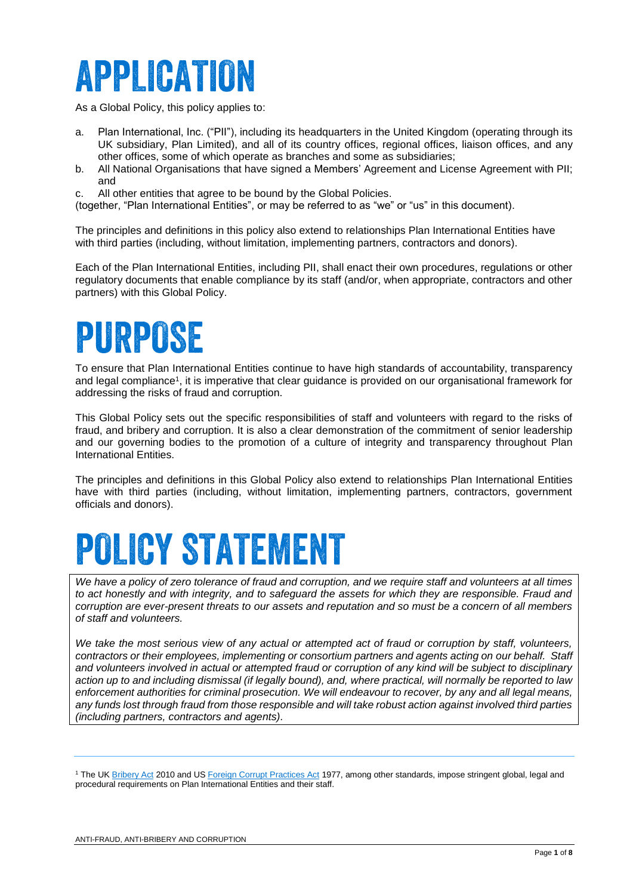### **APPLICATION**

As a Global Policy, this policy applies to:

- a. Plan International, Inc. ("PII"), including its headquarters in the United Kingdom (operating through its UK subsidiary, Plan Limited), and all of its country offices, regional offices, liaison offices, and any other offices, some of which operate as branches and some as subsidiaries;
- b. All National Organisations that have signed a Members' Agreement and License Agreement with PII; and
- c. All other entities that agree to be bound by the Global Policies.

(together, "Plan International Entities", or may be referred to as "we" or "us" in this document).

The principles and definitions in this policy also extend to relationships Plan International Entities have with third parties (including, without limitation, implementing partners, contractors and donors).

Each of the Plan International Entities, including PII, shall enact their own procedures, regulations or other regulatory documents that enable compliance by its staff (and/or, when appropriate, contractors and other partners) with this Global Policy.

### PURPOSE

To ensure that Plan International Entities continue to have high standards of accountability, transparency and legal compliance<sup>1</sup> , it is imperative that clear guidance is provided on our organisational framework for addressing the risks of fraud and corruption.

This Global Policy sets out the specific responsibilities of staff and volunteers with regard to the risks of fraud, and bribery and corruption. It is also a clear demonstration of the commitment of senior leadership and our governing bodies to the promotion of a culture of integrity and transparency throughout Plan International Entities.

The principles and definitions in this Global Policy also extend to relationships Plan International Entities have with third parties (including, without limitation, implementing partners, contractors, government officials and donors).

### **POLICY STATEMENT**

*We have a policy of zero tolerance of fraud and corruption, and we require staff and volunteers at all times to act honestly and with integrity, and to safeguard the assets for which they are responsible. Fraud and corruption are ever-present threats to our assets and reputation and so must be a concern of all members of staff and volunteers.* 

*We take the most serious view of any actual or attempted act of fraud or corruption by staff, volunteers, contractors or their employees, implementing or consortium partners and agents acting on our behalf. Staff and volunteers involved in actual or attempted fraud or corruption of any kind will be subject to disciplinary action up to and including dismissal (if legally bound), and, where practical, will normally be reported to law enforcement authorities for criminal prosecution. We will endeavour to recover, by any and all legal means, any funds lost through fraud from those responsible and will take robust action against involved third parties (including partners, contractors and agents).*

<sup>&</sup>lt;sup>1</sup> The U[K Bribery Act](http://www.legislation.gov.uk/ukpga/2010/23/contents) 2010 and U[S Foreign Corrupt Practices Act](http://www.justice.gov/criminal/fraud/fcpa/statutes/regulations.html) 1977, among other standards, impose stringent global, legal and procedural requirements on Plan International Entities and their staff.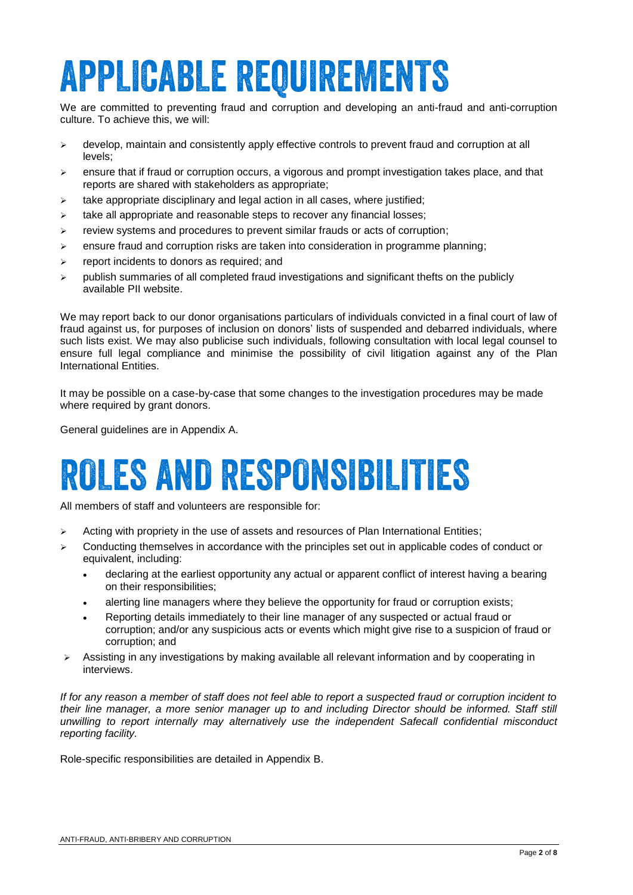## **APPLICABLE REQUIREMENTS**

We are committed to preventing fraud and corruption and developing an anti-fraud and anti-corruption culture. To achieve this, we will:

- $\triangleright$  develop, maintain and consistently apply effective controls to prevent fraud and corruption at all levels;
- $\geq$  ensure that if fraud or corruption occurs, a vigorous and prompt investigation takes place, and that reports are shared with stakeholders as appropriate;
- $\geq$  take appropriate disciplinary and legal action in all cases, where justified;
- $\triangleright$  take all appropriate and reasonable steps to recover any financial losses;
- $\triangleright$  review systems and procedures to prevent similar frauds or acts of corruption;
- $\triangleright$  ensure fraud and corruption risks are taken into consideration in programme planning;
- $\triangleright$  report incidents to donors as required; and
- $\triangleright$  publish summaries of all completed fraud investigations and significant thefts on the publicly available PII website.

We may report back to our donor organisations particulars of individuals convicted in a final court of law of fraud against us, for purposes of inclusion on donors' lists of suspended and debarred individuals, where such lists exist. We may also publicise such individuals, following consultation with local legal counsel to ensure full legal compliance and minimise the possibility of civil litigation against any of the Plan International Entities.

It may be possible on a case-by-case that some changes to the investigation procedures may be made where required by grant donors.

General guidelines are in Appendix A.

### **ROLES AND RESPONSIBILITIES**

All members of staff and volunteers are responsible for:

- $\triangleright$  Acting with propriety in the use of assets and resources of Plan International Entities;
- $\triangleright$  Conducting themselves in accordance with the principles set out in applicable codes of conduct or equivalent, including:
	- declaring at the earliest opportunity any actual or apparent conflict of interest having a bearing on their responsibilities;
	- alerting line managers where they believe the opportunity for fraud or corruption exists;
	- Reporting details immediately to their line manager of any suspected or actual fraud or corruption; and/or any suspicious acts or events which might give rise to a suspicion of fraud or corruption; and
- Assisting in any investigations by making available all relevant information and by cooperating in interviews.

*If for any reason a member of staff does not feel able to report a suspected fraud or corruption incident to their line manager, a more senior manager up to and including Director should be informed. Staff still unwilling to report internally may alternatively use the independent Safecall confidential misconduct reporting facility.*

Role-specific responsibilities are detailed in Appendix B.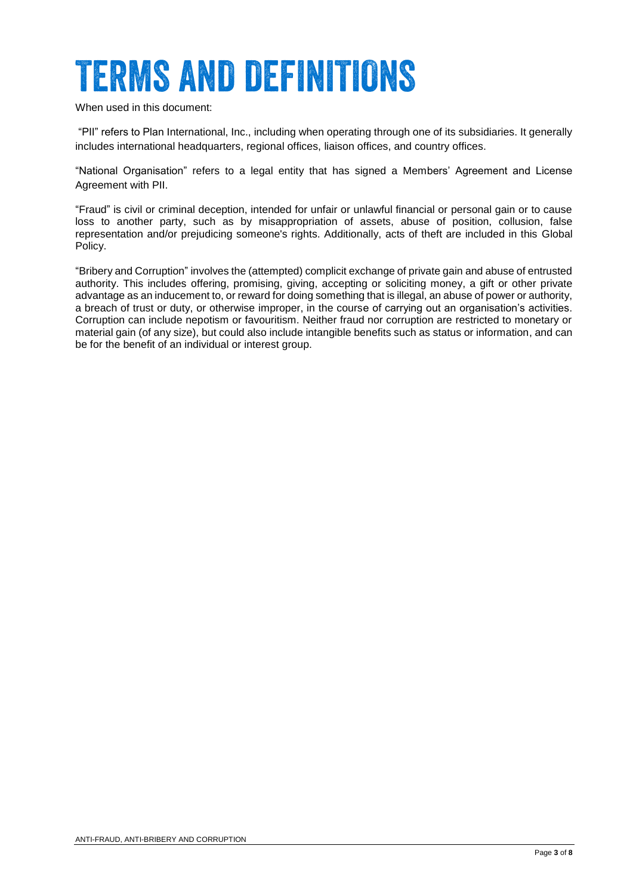### **TERMS AND DEFINITIONS**

When used in this document:

"PII" refers to Plan International, Inc., including when operating through one of its subsidiaries. It generally includes international headquarters, regional offices, liaison offices, and country offices.

"National Organisation" refers to a legal entity that has signed a Members' Agreement and License Agreement with PII.

"Fraud" is civil or criminal deception, intended for unfair or unlawful financial or personal gain or to cause loss to another party, such as by misappropriation of assets, abuse of position, collusion, false representation and/or prejudicing someone's rights. Additionally, acts of theft are included in this Global Policy.

"Bribery and Corruption" involves the (attempted) complicit exchange of private gain and abuse of entrusted authority. This includes offering, promising, giving, accepting or soliciting money, a gift or other private advantage as an inducement to, or reward for doing something that is illegal, an abuse of power or authority, a breach of trust or duty, or otherwise improper, in the course of carrying out an organisation's activities. Corruption can include nepotism or favouritism. Neither fraud nor corruption are restricted to monetary or material gain (of any size), but could also include intangible benefits such as status or information, and can be for the benefit of an individual or interest group.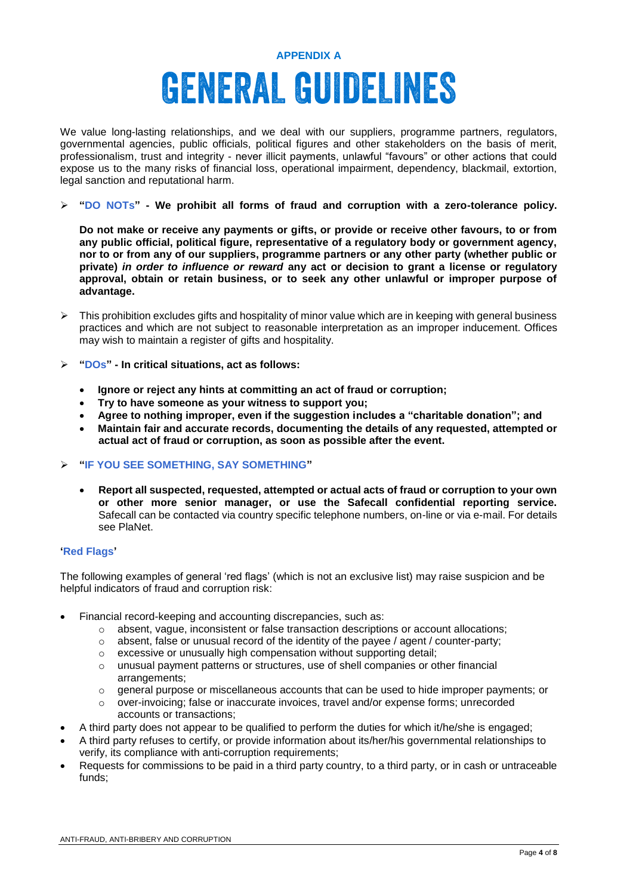### **APPENDIX A GENERAL GUIDELINES**

We value long-lasting relationships, and we deal with our suppliers, programme partners, regulators, governmental agencies, public officials, political figures and other stakeholders on the basis of merit, professionalism, trust and integrity - never illicit payments, unlawful "favours" or other actions that could expose us to the many risks of financial loss, operational impairment, dependency, blackmail, extortion, legal sanction and reputational harm.

#### **"DO NOTs" - We prohibit all forms of fraud and corruption with a zero-tolerance policy.**

**Do not make or receive any payments or gifts, or provide or receive other favours, to or from any public official, political figure, representative of a regulatory body or government agency, nor to or from any of our suppliers, programme partners or any other party (whether public or private)** *in order to influence or reward* **any act or decision to grant a license or regulatory approval, obtain or retain business, or to seek any other unlawful or improper purpose of advantage.**

- $\triangleright$  This prohibition excludes gifts and hospitality of minor value which are in keeping with general business practices and which are not subject to reasonable interpretation as an improper inducement. Offices may wish to maintain a register of gifts and hospitality.
- **"DOs" - In critical situations, act as follows:**
	- **Ignore or reject any hints at committing an act of fraud or corruption;**
	- **Try to have someone as your witness to support you;**
	- **Agree to nothing improper, even if the suggestion includes a "charitable donation"; and**
	- **Maintain fair and accurate records, documenting the details of any requested, attempted or actual act of fraud or corruption, as soon as possible after the event.**

#### **"IF YOU SEE SOMETHING, SAY SOMETHING"**

 **Report all suspected, requested, attempted or actual acts of fraud or corruption to your own or other more senior manager, or use the Safecall confidential reporting service.** Safecall can be contacted via country specific telephone numbers, on-line or via e-mail. For details see PlaNet.

#### **'Red Flags'**

The following examples of general 'red flags' (which is not an exclusive list) may raise suspicion and be helpful indicators of fraud and corruption risk:

- Financial record-keeping and accounting discrepancies, such as:
	- $\circ$  absent, vague, inconsistent or false transaction descriptions or account allocations;
	- $\circ$  absent, false or unusual record of the identity of the payee / agent / counter-party;
	- $\circ$  excessive or unusually high compensation without supporting detail:
	- $\circ$  unusual payment patterns or structures, use of shell companies or other financial arrangements;
	- $\circ$  general purpose or miscellaneous accounts that can be used to hide improper payments; or
	- o over-invoicing; false or inaccurate invoices, travel and/or expense forms; unrecorded accounts or transactions;
- A third party does not appear to be qualified to perform the duties for which it/he/she is engaged;
- A third party refuses to certify, or provide information about its/her/his governmental relationships to verify, its compliance with anti-corruption requirements;
- Requests for commissions to be paid in a third party country, to a third party, or in cash or untraceable funds;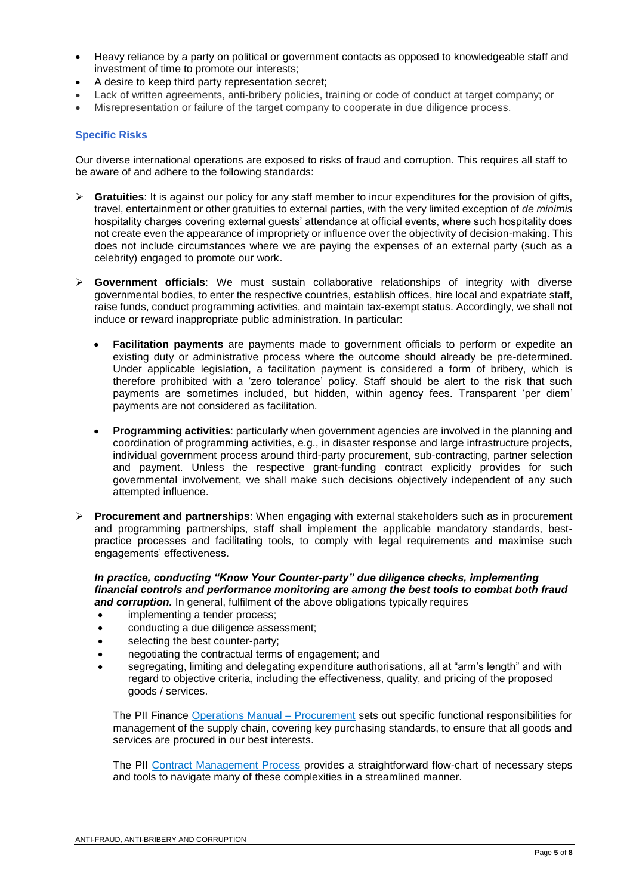- Heavy reliance by a party on political or government contacts as opposed to knowledgeable staff and investment of time to promote our interests;
- A desire to keep third party representation secret;
- Lack of written agreements, anti-bribery policies, training or code of conduct at target company; or
- Misrepresentation or failure of the target company to cooperate in due diligence process.

#### **Specific Risks**

Our diverse international operations are exposed to risks of fraud and corruption. This requires all staff to be aware of and adhere to the following standards:

- **►** Gratuities: It is against our policy for any staff member to incur expenditures for the provision of gifts, travel, entertainment or other gratuities to external parties, with the very limited exception of *de minimis*  hospitality charges covering external guests' attendance at official events, where such hospitality does not create even the appearance of impropriety or influence over the objectivity of decision-making. This does not include circumstances where we are paying the expenses of an external party (such as a celebrity) engaged to promote our work.
- **Government officials**: We must sustain collaborative relationships of integrity with diverse governmental bodies, to enter the respective countries, establish offices, hire local and expatriate staff, raise funds, conduct programming activities, and maintain tax-exempt status. Accordingly, we shall not induce or reward inappropriate public administration. In particular:
	- **Facilitation payments** are payments made to government officials to perform or expedite an existing duty or administrative process where the outcome should already be pre-determined. Under applicable legislation, a facilitation payment is considered a form of bribery, which is therefore prohibited with a 'zero tolerance' policy. Staff should be alert to the risk that such payments are sometimes included, but hidden, within agency fees. Transparent 'per diem' payments are not considered as facilitation.
	- **Programming activities**: particularly when government agencies are involved in the planning and coordination of programming activities, e.g., in disaster response and large infrastructure projects, individual government process around third-party procurement, sub-contracting, partner selection and payment. Unless the respective grant-funding contract explicitly provides for such governmental involvement, we shall make such decisions objectively independent of any such attempted influence.
- **Procurement and partnerships**: When engaging with external stakeholders such as in procurement and programming partnerships, staff shall implement the applicable mandatory standards, bestpractice processes and facilitating tools, to comply with legal requirements and maximise such engagements' effectiveness.

#### *In practice, conducting "Know Your Counter-party" due diligence checks, implementing financial controls and performance monitoring are among the best tools to combat both fraud and corruption.* In general, fulfilment of the above obligations typically requires

- implementing a tender process;
- conducting a due diligence assessment;
- selecting the best counter-party;
- negotiating the contractual terms of engagement; and
- segregating, limiting and delegating expenditure authorisations, all at "arm's length" and with regard to objective criteria, including the effectiveness, quality, and pricing of the proposed goods / services.

The PII Finance [Operations Manual –](https://planet.planapps.org/Operations/Finance/_layouts/15/WopiFrame2.aspx?sourcedoc=/Operations/Finance/Operations%20Manual/GLO-OM_09.02_Procurement-Final-IO-Eng-jul12.docx&action=default) Procurement sets out specific functional responsibilities for management of the supply chain, covering key purchasing standards, to ensure that all goods and services are procured in our best interests.

The PII [Contract Management Process](https://planet.planapps.org/Operations/Legal/Pages/Contractprocess.aspx) provides a straightforward flow-chart of necessary steps and tools to navigate many of these complexities in a streamlined manner.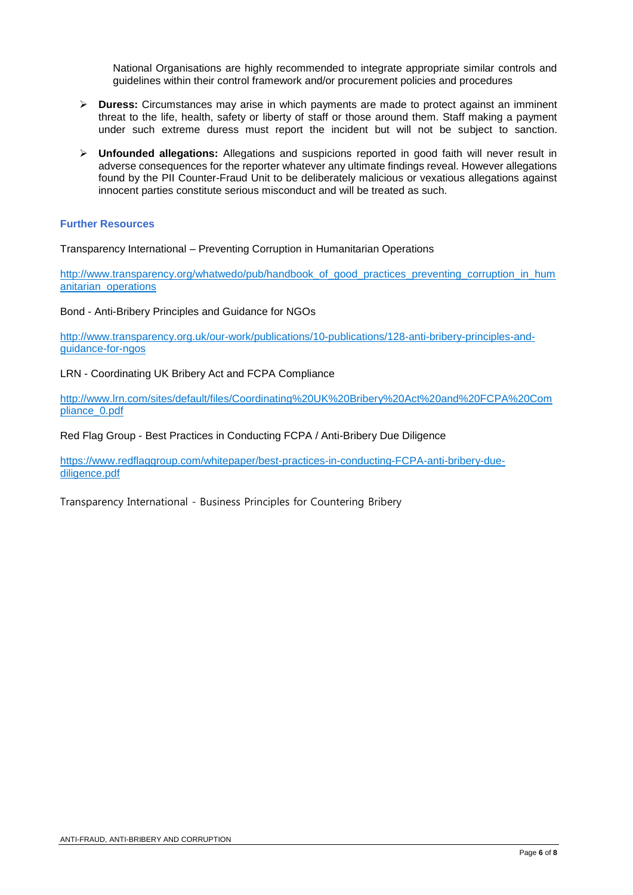National Organisations are highly recommended to integrate appropriate similar controls and guidelines within their control framework and/or procurement policies and procedures

- **Duress:** Circumstances may arise in which payments are made to protect against an imminent threat to the life, health, safety or liberty of staff or those around them. Staff making a payment under such extreme duress must report the incident but will not be subject to sanction.
- **Unfounded allegations:** Allegations and suspicions reported in good faith will never result in adverse consequences for the reporter whatever any ultimate findings reveal. However allegations found by the PII Counter-Fraud Unit to be deliberately malicious or vexatious allegations against innocent parties constitute serious misconduct and will be treated as such.

#### **Further Resources**

Transparency International – Preventing Corruption in Humanitarian Operations

[http://www.transparency.org/whatwedo/pub/handbook\\_of\\_good\\_practices\\_preventing\\_corruption\\_in\\_hum](http://www.transparency.org/whatwedo/pub/handbook_of_good_practices_preventing_corruption_in_humanitarian_operations) [anitarian\\_operations](http://www.transparency.org/whatwedo/pub/handbook_of_good_practices_preventing_corruption_in_humanitarian_operations)

Bond - Anti-Bribery Principles and Guidance for NGOs

[http://www.transparency.org.uk/our-work/publications/10-publications/128-anti-bribery-principles-and](http://www.transparency.org.uk/our-work/publications/10-publications/128-anti-bribery-principles-and-guidance-for-ngos)[guidance-for-ngos](http://www.transparency.org.uk/our-work/publications/10-publications/128-anti-bribery-principles-and-guidance-for-ngos)

LRN - Coordinating UK Bribery Act and FCPA Compliance

[http://www.lrn.com/sites/default/files/Coordinating%20UK%20Bribery%20Act%20and%20FCPA%20Com](http://www.lrn.com/sites/default/files/Coordinating%20UK%20Bribery%20Act%20and%20FCPA%20Compliance_0.pdf) [pliance\\_0.pdf](http://www.lrn.com/sites/default/files/Coordinating%20UK%20Bribery%20Act%20and%20FCPA%20Compliance_0.pdf)

Red Flag Group - Best Practices in Conducting FCPA / Anti-Bribery Due Diligence

[https://www.redflaggroup.com/whitepaper/best-practices-in-conducting-FCPA-anti-bribery-due](https://www.redflaggroup.com/whitepaper/best-practices-in-conducting-FCPA-anti-bribery-due-diligence.pdf)[diligence.pdf](https://www.redflaggroup.com/whitepaper/best-practices-in-conducting-FCPA-anti-bribery-due-diligence.pdf)

Transparency International - Business Principles for Countering Bribery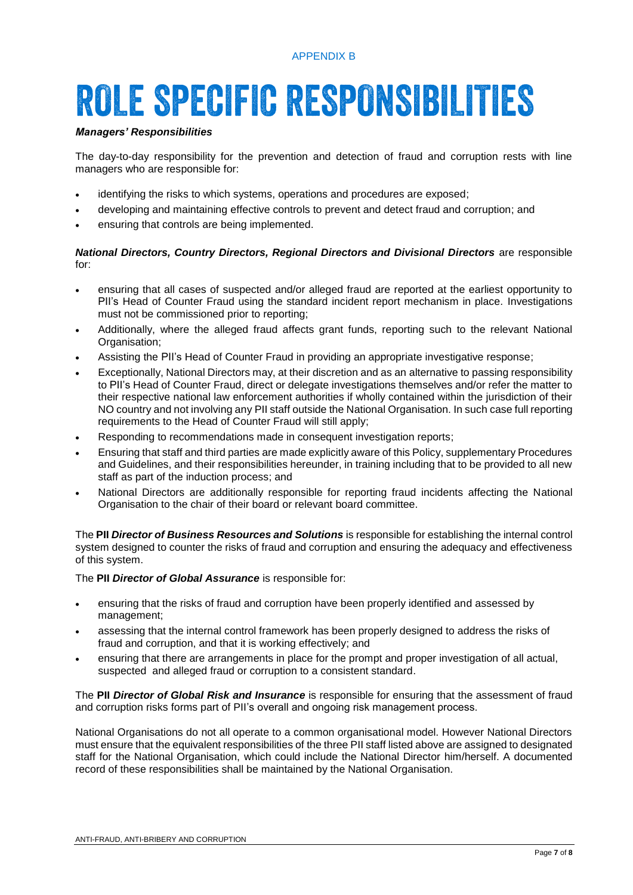#### APPENDIX B

### **ROLE SPECIFIC RESPONSIBILITIES**

#### *Managers' Responsibilities*

The day-to-day responsibility for the prevention and detection of fraud and corruption rests with line managers who are responsible for:

- identifying the risks to which systems, operations and procedures are exposed;
- developing and maintaining effective controls to prevent and detect fraud and corruption; and
- ensuring that controls are being implemented.

#### *National Directors, Country Directors, Regional Directors and Divisional Directors* are responsible for:

- ensuring that all cases of suspected and/or alleged fraud are reported at the earliest opportunity to PII's Head of Counter Fraud using the standard incident report mechanism in place*.* Investigations must not be commissioned prior to reporting;
- Additionally, where the alleged fraud affects grant funds, reporting such to the relevant National Organisation;
- Assisting the PII's Head of Counter Fraud in providing an appropriate investigative response;
- Exceptionally, National Directors may, at their discretion and as an alternative to passing responsibility to PII's Head of Counter Fraud, direct or delegate investigations themselves and/or refer the matter to their respective national law enforcement authorities if wholly contained within the jurisdiction of their NO country and not involving any PII staff outside the National Organisation. In such case full reporting requirements to the Head of Counter Fraud will still apply;
- Responding to recommendations made in consequent investigation reports;
- Ensuring that staff and third parties are made explicitly aware of this Policy, supplementary Procedures and Guidelines, and their responsibilities hereunder, in training including that to be provided to all new staff as part of the induction process; and
- National Directors are additionally responsible for reporting fraud incidents affecting the National Organisation to the chair of their board or relevant board committee.

The **PII** *Director of Business Resources and Solutions* is responsible for establishing the internal control system designed to counter the risks of fraud and corruption and ensuring the adequacy and effectiveness of this system.

The **PII** *Director of Global Assurance* is responsible for:

- ensuring that the risks of fraud and corruption have been properly identified and assessed by management;
- assessing that the internal control framework has been properly designed to address the risks of fraud and corruption, and that it is working effectively; and
- ensuring that there are arrangements in place for the prompt and proper investigation of all actual, suspected and alleged fraud or corruption to a consistent standard.

The **PII** *Director of Global Risk and Insurance* is responsible for ensuring that the assessment of fraud and corruption risks forms part of PII's overall and ongoing risk management process.

National Organisations do not all operate to a common organisational model. However National Directors must ensure that the equivalent responsibilities of the three PII staff listed above are assigned to designated staff for the National Organisation, which could include the National Director him/herself. A documented record of these responsibilities shall be maintained by the National Organisation.